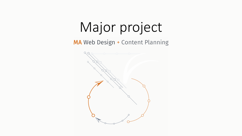# Major project

MA Web Design + Content Planning

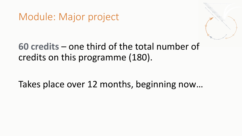Module: Major project



## **60 credits** – one third of the total number of credits on this programme (180).

Takes place over 12 months, beginning now…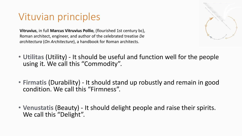# Vituvian principles

**Vitruvius**, in full **Marcus Vitruvius Pollio**, (flourished 1st century bc), Roman architect, engineer, and author of the celebrated treatise *De architectura* (*On Architecture*), a handbook for Roman architects.



- **Utilitas** (Utility) It should be useful and function well for the people using it. We call this "Commodity".
- **Firmatis** (Durability) It should stand up robustly and remain in good condition. We call this "Firmness".
- **Venustatis** (Beauty) It should delight people and raise their spirits. We call this "Delight".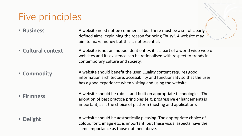# Five principles

- **Business** A website need not be commercial but there must be a set of clearly defined aims, explaining the reason for being "busy". A website may aim to make money but this is not essential.
- **Cultural context** A website is not an independent entity, it is a part of a world wide web of websites and its existence can be rationalised with respect to trends in contemporary culture and society.
- **Commodity** A website should benefit the user. Quality content requires good information architecture, accessibility and functionality so that the user has a good experience when visiting and using the website.
- **Firmness**

A website should be robust and built on appropriate technologies. The adoption of best practice principles (e.g. progressive enhancement) is important, as it the choice of platform (hosting and application).

• **Delight**

A website should be aesthetically pleasing. The appropriate choice of colour, font, image etc. is important, but these visual aspects have the same importance as those outlined above.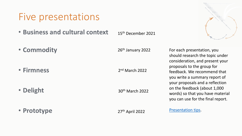### Five presentations

- **Business and cultural context** 15th December 2021
- **Commodity**

• **Firmness**

• **Delight**

• **Prototype**

26<sup>th</sup> January 2022

2nd March 2022

30th March 2022

27th April 2022

[Presentation tips.](https://eyelearn.org/2021_wdcp/11-mp-01.html)

For each presentation, you should research the topic under consideration, and present your proposals to the group for feedback. We recommend that you write a summary report of your proposals and a reflection on the feedback (about 1,000 words) so that you have material you can use for the final report.